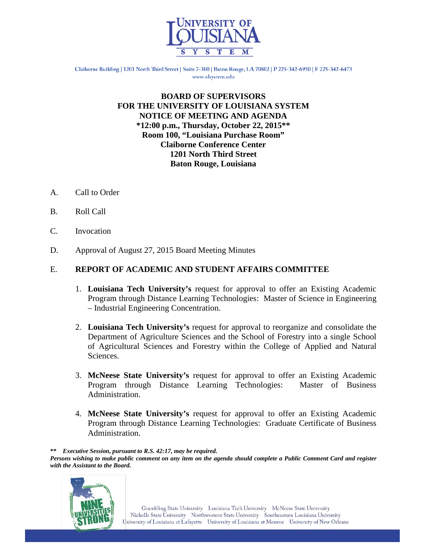

Claiborne Building | 1201 North Third Street | Suite 7-300 | Baton Rouge, LA 70802 | P 225-342-6950 | F 225-342-6473 www.ulsystem.edu

#### **BOARD OF SUPERVISORS FOR THE UNIVERSITY OF LOUISIANA SYSTEM NOTICE OF MEETING AND AGENDA \*12:00 p.m., Thursday, October 22, 2015\*\* Room 100, "Louisiana Purchase Room" Claiborne Conference Center 1201 North Third Street Baton Rouge, Louisiana**

- A. Call to Order
- B. Roll Call
- C. Invocation
- D. Approval of August 27, 2015 Board Meeting Minutes

#### E. **REPORT OF ACADEMIC AND STUDENT AFFAIRS COMMITTEE**

- 1. **Louisiana Tech University's** request for approval to offer an Existing Academic Program through Distance Learning Technologies: Master of Science in Engineering – Industrial Engineering Concentration.
- 2. **Louisiana Tech University's** request for approval to reorganize and consolidate the Department of Agriculture Sciences and the School of Forestry into a single School of Agricultural Sciences and Forestry within the College of Applied and Natural Sciences.
- 3. **McNeese State University's** request for approval to offer an Existing Academic Program through Distance Learning Technologies: Master of Business Administration.
- 4. **McNeese State University's** request for approval to offer an Existing Academic Program through Distance Learning Technologies: Graduate Certificate of Business Administration.

*Persons wishing to make public comment on any item on the agenda should complete a Public Comment Card and register with the Assistant to the Board.*



**<sup>\*\*</sup>** *Executive Session, pursuant to R.S. 42:17, may be required.*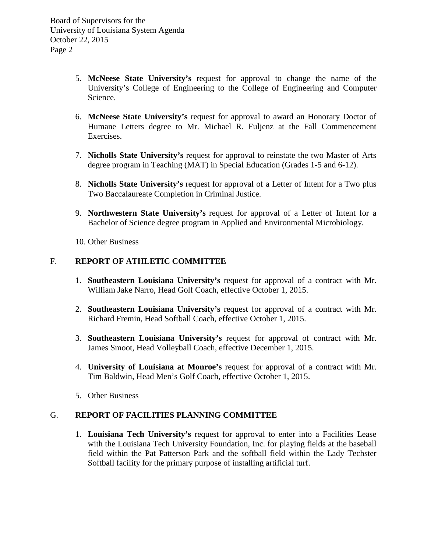Board of Supervisors for the University of Louisiana System Agenda October 22, 2015 Page 2

- 5. **McNeese State University's** request for approval to change the name of the University's College of Engineering to the College of Engineering and Computer Science.
- 6. **McNeese State University's** request for approval to award an Honorary Doctor of Humane Letters degree to Mr. Michael R. Fuljenz at the Fall Commencement Exercises.
- 7. **Nicholls State University's** request for approval to reinstate the two Master of Arts degree program in Teaching (MAT) in Special Education (Grades 1-5 and 6-12).
- 8. **Nicholls State University's** request for approval of a Letter of Intent for a Two plus Two Baccalaureate Completion in Criminal Justice.
- 9. **Northwestern State University's** request for approval of a Letter of Intent for a Bachelor of Science degree program in Applied and Environmental Microbiology.
- 10. Other Business

### F. **REPORT OF ATHLETIC COMMITTEE**

- 1. **Southeastern Louisiana University's** request for approval of a contract with Mr. William Jake Narro, Head Golf Coach, effective October 1, 2015.
- 2. **Southeastern Louisiana University's** request for approval of a contract with Mr. Richard Fremin, Head Softball Coach, effective October 1, 2015.
- 3. **Southeastern Louisiana University's** request for approval of contract with Mr. James Smoot, Head Volleyball Coach, effective December 1, 2015.
- 4. **University of Louisiana at Monroe's** request for approval of a contract with Mr. Tim Baldwin, Head Men's Golf Coach, effective October 1, 2015.
- 5. Other Business

### G. **REPORT OF FACILITIES PLANNING COMMITTEE**

1. **Louisiana Tech University's** request for approval to enter into a Facilities Lease with the Louisiana Tech University Foundation, Inc. for playing fields at the baseball field within the Pat Patterson Park and the softball field within the Lady Techster Softball facility for the primary purpose of installing artificial turf.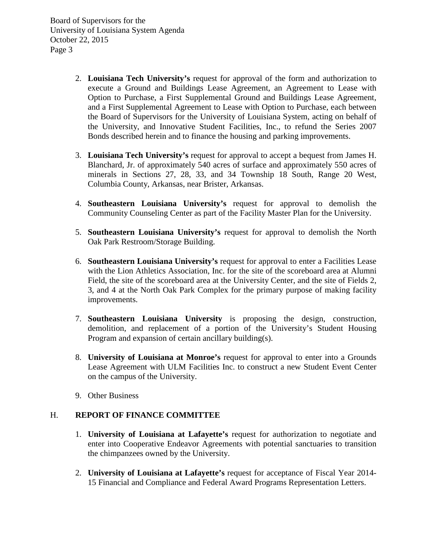Board of Supervisors for the University of Louisiana System Agenda October 22, 2015 Page 3

- 2. **Louisiana Tech University's** request for approval of the form and authorization to execute a Ground and Buildings Lease Agreement, an Agreement to Lease with Option to Purchase, a First Supplemental Ground and Buildings Lease Agreement, and a First Supplemental Agreement to Lease with Option to Purchase, each between the Board of Supervisors for the University of Louisiana System, acting on behalf of the University, and Innovative Student Facilities, Inc., to refund the Series 2007 Bonds described herein and to finance the housing and parking improvements.
- 3. **Louisiana Tech University's** request for approval to accept a bequest from James H. Blanchard, Jr. of approximately 540 acres of surface and approximately 550 acres of minerals in Sections 27, 28, 33, and 34 Township 18 South, Range 20 West, Columbia County, Arkansas, near Brister, Arkansas.
- 4. **Southeastern Louisiana University's** request for approval to demolish the Community Counseling Center as part of the Facility Master Plan for the University.
- 5. **Southeastern Louisiana University's** request for approval to demolish the North Oak Park Restroom/Storage Building.
- 6. **Southeastern Louisiana University's** request for approval to enter a Facilities Lease with the Lion Athletics Association, Inc. for the site of the scoreboard area at Alumni Field, the site of the scoreboard area at the University Center, and the site of Fields 2, 3, and 4 at the North Oak Park Complex for the primary purpose of making facility improvements.
- 7. **Southeastern Louisiana University** is proposing the design, construction, demolition, and replacement of a portion of the University's Student Housing Program and expansion of certain ancillary building(s).
- 8. **University of Louisiana at Monroe's** request for approval to enter into a Grounds Lease Agreement with ULM Facilities Inc. to construct a new Student Event Center on the campus of the University.
- 9. Other Business

### H. **REPORT OF FINANCE COMMITTEE**

- 1. **University of Louisiana at Lafayette's** request for authorization to negotiate and enter into Cooperative Endeavor Agreements with potential sanctuaries to transition the chimpanzees owned by the University.
- 2. **University of Louisiana at Lafayette's** request for acceptance of Fiscal Year 2014- 15 Financial and Compliance and Federal Award Programs Representation Letters.